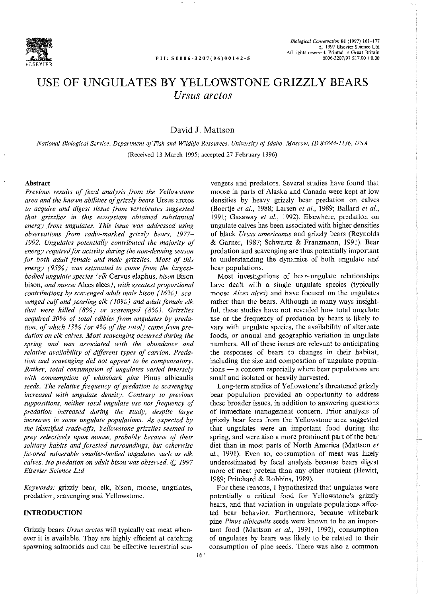

# **USE OF UNGULATES BY YELLOWSTONE GRIZZLY BEARS**  *Ursus arctos*

# David **J.** Mattson

*National Biological Service, Department of Fish and Wildlife Resources, University of Idaho, Moscow, ID 83844-1136, USA*  (Received 13 March 1995; accepted 27 February 1996)

#### **Abstract**

*Previous results of fecal analysis from the Yellowstone area and the known abilities of grizzly bears* Ursus arctos *to acquire and digest tissue from vertebrates suggested that grizzlies in this ecosystem obtained substantial energy from ungulates. This issue was addressed using observations from radio-marked grizzly bears, 1977- 1992. Ungulates potentially contributed the majority of energy required for activity during the non-denning season for both adult female and male grizzlies. Most of this energy (95%) was estimated to come from the largestbodied ungulate species (elk* Cervus elaphus, *bison* Bison bison, *and moose* Alces alces), *with greatest proportional contributions by scavenged adult male bison ( 16%), scavenged calf and yearling elk ( 10%) and adult female elk that were killed (* 8%) *or scavenged (* 8%). *Grizzlies acquired 30% of total edibles from ungulates by predation, of which 13% (or 4% of the total) came from predation on elk calves. Most scavenging occurred during the spring and was associated with the abundance and relative availability of different types of carrion. Predation and scavenging did not appear to be compensatory. Rather, total consumption of ungulates varied inversely with consumption of whitebark pine* Pinus albicaulis *seeds. The relative frequency of predation to scavenging increased with ungulate density. Contrary to previous suppositions, neither total ungulate use nor frequency of predation increased during the study, despite large increases in some ungulate populations. As expected by the identified trade-offs, Yellowstone grizzlies seemed to prey selectively upon moose, probably because of their solitary habits and forested surroundings, but otherwise favored vulnerable smaller-bodied ungulates such as elk calves. No predation on adult bison was observed.* © *1997 Elsevier Science Ltd* 

*Keywords:* grizzly bear, elk, bison, moose, ungulates, predation, scavenging and Yellowstone.

### **INTRODUCTION**

Grizzly bears *Ursus arctos* will typically eat meat whenever it is available. They are highly efficient at catching **spawning salmonids and can be effective terrestrial sea-**

vengers and predators. Several studies have found that moose in parts of Alaska and Canada were kept at low densities by heavy grizzly bear predation on calves (Boertje et al., 1988; Larsen et al., 1989; Ballard et al., 1991; Gasaway *et al.,* 1992). Elsewhere, predation on ungulate calves has been associated with higher densities of black *Ursus americanus* and grizzly bears (Reynolds & Garner, 1987; Schwartz & Franzmann, 1991). Bear predation and scavenging are thus potentially important to understanding the dynamics of both ungulate and bear populations.

Most investigations of bear-ungulate relationships have dealt with a single ungulate species (typically moose *Alces alces)* and have focused on the ungulates rather than the bears. Although in many ways insightful, these studies have not revealed how total ungulate use or the frequency of predation by bears is likely to vary with ungulate species, the availability of alternate foods, or annual and geographic variation in ungulate numbers. All of these issues are relevant to anticipating the responses of bears to changes in their habitat, including the size and composition of ungulate popula**tions - a concern especially where bear populations are**  small and isolated or heavily harvested.

Long-term studies of Yellowstone's threatened grizzly bear population provided an opportunity to address **these broader issues, in addition to answering questions of immediate management concern. Prior analysis of**  grizzly bear feces from the Yellowstone area suggested that ungulates were an important food during the **spring, and were also a more prominent part of the bear**  diet than in most parts of North America (Mattson *et*  al., 1991). Even so, consumption of meat was likely underestimated by fecal analysis because bears digest more of meat protein than any other nutrient (Hewitt, 1989; Pritchard & Robbins, 1989).

For these reasons, I hypothesized that ungulates were potentially a critical food for Yellowstone's grizzly bears, and that variation in ungulate populations affected bear behavior. Furthermore, because whitebark **pine** *Pinus albicaulis* **seeds were known to be an impor**tant food (Mattson *et a/.,* 1991, 1992), consumption of ungulates by bears was likely to be related to their **consumption of pine seeds. There was also a common**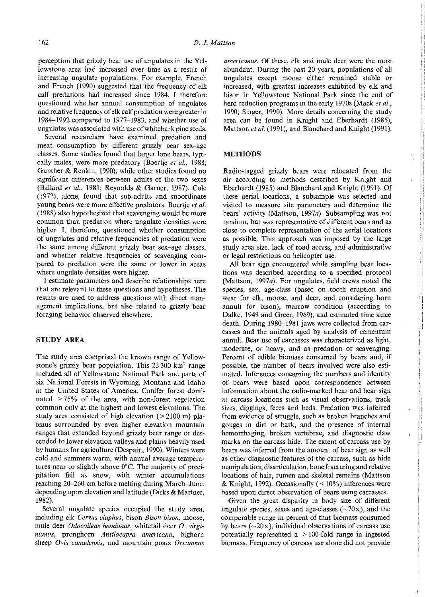perception that grizzly bear use of ungulates in the Yel**lowstone area had increased over time as a result of**  increasing ungulate populations. For example, French and French (1990) suggested that the frequency of elk calf predations had increased since 1984. I therefore questioned whether annual consumption of ungulates and relative frequency of elk calf predation were greater in 1984-1992 compared to 1977-1983, and whether use of ungulates was associated with use of white bark pine seeds.

**Several researchers have examined predation and**  meat consumption by different grizzly bear sex-age classes. Some studies found that larger lone bears, typically males, were more predatory (Boertje et al., 1988; Gunther & Renkin, 1990), while other studies found no significant differences between adults of the two sexes (Ballard *et a/.,* 1981; Reynolds & Gamer, 1987). Cole (1972), alone, found that sub-adults and subordinate young bears were more effective predators. Boertje *et a/.*  (1988) also hypothesized that scavenging would be more common than predation where ungulate densities were higher. I, therefore, questioned whether consumption of ungulates and relative frequencies of predation were the same among different grizzly bear sex-age classes, and whether relative frequencies of scavenging com**pared to predation were the same or lower in areas**  where ungulate densities were higher.

I estimate parameters and describe relationships here that are relevant to these questions and hypotheses. The **results are used to address questions with direct man**agement implications, but also related to grizzly bear foraging behavior observed elsewhere.

## **STUDY AREA**

The study area comprised the known range of Yellowstone's grizzly bear population. This  $23 300 \text{ km}^2$  range included all of Yellowstone National Park and parts of six National Forests in Wyoming, Montana and Idaho in the United States of America. Conifer forest dominated > 75% of the area, with non-forest vegetation common only at the highest and lowest elevations. The study area consisted of high elevation  $(>2100 \text{ m})$  pla**teaus surrounded by even higher elevation mountain**  ranges that extended beyond grizzly bear range or descended to lower elevation valleys and plains heavily used by humans for agriculture (Despain, 1990). Winters were **cold and summers warm, with annual average tempera**tures near or slightly above 0°C. The majority of preci**pitation fell as snow, with winter accumulations**  reaching 20-260 em before melting during March-June, depending upon elevation and latitude (Dirks & Martner, 1982).

Several ungulate species occupied the study area, including elk *Cervus elaphus,* bison *Bison bison,* moose, mule deer *Odocoileus hemionus,* whitetail deer *0. virginianus,* **pronghorn** *Antilocapra americana,* **bighorn sheep** *Ovis canadensis,* **and mountain goats** *Oreamnos* 

*americanus.* Of these, elk and mule deer were the most abundant. During the past 20 years, populations of all ungulates except moose either remained stable or increased, with greatest increases exhibited by elk and bison in Yellowstone National Park since the end of herd reduction programs in the early 1970s (Mack *et al.*, 1990; Singer, 1990). More details concerning the study area can be found in Knight and Eberhardt (1985), Mattson *et al.* (1991), and Blanchard and Knight (1991).

### **METHODS**

Radio-tagged grizzly bears were relocated from the air according to methods described by Knight and Eberhardt (1985) and Blanchard and Knight (1991). Of these aerial locations, a subsample was selected and **visited to measure site parameters and determine the**  bears' activity (Mattson, 1997a). Subsampling was not random, but was representative of different bears and as close to complete representation of the aerial locations as possible. This approach was imposed by the large **study area size, lack of road access, and administrative**  or legal restrictions on helicopter use.

All bear sign encountered while sampling bear locations was described according to a specified protocol (Mattson, 1997a). For ungulates, field crews noted the species, sex, age-class (based on tooth eruption and **wear for elk, moose, and deer, and considering hom**  annuli for bison), marrow condition (according to Dalke, 1949 and Greer, 1969), and estimated time since death. During 1980-1981 jaws were collected from carcasses and the animals aged by analysis of cementum **annuli. Bear use of carcasses was characterized as light,**  moderate, or heavy, and as predation or scavenging. Percent of edible biomass consumed by bears and, if possible, the number of bears involved were also estimated. Inferences concerning the numbers and identity of bears were based upon correspondence between information about the radio-marked bear and bear sign **at carcass locations such as visual observations, track**  sizes, diggings, feces and beds. Predation was inferred from evidence of struggle, such as broken branches and gouges in dirt or bark, and the presence of internal hemorrhaging, broken vertebrae, and diagnostic claw marks on the carcass hide. The extent of carcass use by bears was inferred from the amount of bear sign as well as other diagnostic features of the carcass, such as hide manipulation, disarticulation, bone fracturing and relative locations of hair, rumen and skeletal remains (Mattson & Knight, 1992). Occasionally  $($  < 10%) inferences were **based upon direct observation of bears using carcasses.** 

Given the great disparity in body size of different ungulate species, sexes and age-classes  $(\sim 70 \times)$ , and the comparable range in percent of that biomass consumed by bears  $(\sim 20 \times)$ , individual observations of carcass use potentially represented a  $>100$ -fold range in ingested biomass. Frequency of carcass use alone did not provide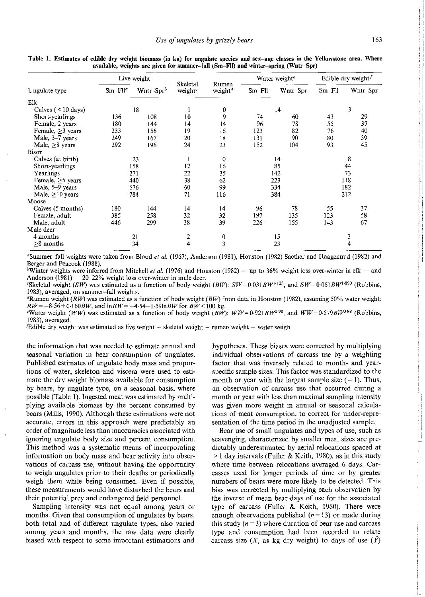|                        |            | Live weight   |                                        |                              |          | Water weight <sup>e</sup> |          | Edible dry weight <sup><math>f</math></sup> |
|------------------------|------------|---------------|----------------------------------------|------------------------------|----------|---------------------------|----------|---------------------------------------------|
| Ungulate type          | $Sm-Fll^a$ | Wntr-Spr $^b$ | <b>Skeletal</b><br>weight <sup>c</sup> | Rumen<br>weight <sup>d</sup> | $Sm-F11$ | Wntr-Spr                  | $Sm-Fll$ | Wntr-Spr                                    |
| Elk                    |            |               |                                        |                              |          |                           |          |                                             |
| Calves $($ < 10 days)  |            | 18            |                                        | 0                            |          | 14                        |          | 3                                           |
| Short-yearlings        | 136        | 108           | 10                                     | 9                            | 74       | 60                        | 43       | 29                                          |
| Female, 2 years        | 180        | 144           | 14                                     | 14                           | 96       | 78                        | 55       | 37                                          |
| Female, $\geq$ 3 years | 233        | 156           | 19                                     | 16                           | 123      | 82                        | 76       | 40                                          |
| Male, 3-7 years        | 249        | 167           | 20                                     | 18                           | 131      | 90                        | 80       | 39                                          |
| Male, $\geq 8$ years   | 292        | 196           | 24                                     | 23                           | 152      | 104                       | 93       | 45                                          |
| Bison                  |            |               |                                        |                              |          |                           |          |                                             |
| Calves (at birth)      |            | 23            |                                        | 0                            |          | 14                        |          | 8                                           |
| Short-yearlings        |            | 158           | 12                                     | 16                           |          | 85                        |          | 44                                          |
| Yearlings              |            | 271           | 22                                     | 35                           |          | 142                       |          | 73                                          |
| Female, $\geq$ 5 years | 440        |               | 38                                     | 62                           | 223      |                           | 118      |                                             |
| Male, 5–9 years        |            | 676           | 60                                     | 99                           |          | 334                       |          | 182                                         |
| Male, $\geq 10$ years  | 784        |               | 71                                     | 116                          | 384      |                           | 212      |                                             |
| Moose                  |            |               |                                        |                              |          |                           |          |                                             |
| Calves (5 months)      | 180        | 144           | 14                                     | 14                           | 96       | 78                        | 55       | 37                                          |
| Female, adult          | 385        | 258           | 32                                     | 32                           | 197      | 135                       | 123      | 58                                          |
| Male, adult            | 446        | 299           | 38                                     | 39                           | $226 -$  | 155                       | 143      | 67                                          |
| Mule deer              |            |               |                                        |                              |          |                           |          |                                             |
| 4 months               |            | 21            | 2                                      | $\bf{0}$                     | 15       |                           | 3        |                                             |
| $\geq$ 8 months        |            | 34            | 4                                      | 3                            |          | 23                        |          | 4                                           |

**Table 1. Estimates of edible dry weight biomass (in kg) for ungulate species and sex-age classes in the Yellowstone area. Where available, weights are given for summer-fall (Sm-Fil) and winter-spring (Wntr-Spr)** 

"Summer-fall weights were taken from *Blood eta/.* (1967), Anderson (1981), Houston (1982) Saether and Haagennud (1982) and Berger and Peacock (1988).

*hWinter weights were inferred from Mitchell <i>et al.* **(1976) and Houston (1982) — up to 36% weight loss over-winter in elk — and**  $\blacksquare$ Anderson (1981) - 20-22% weight loss over-winter in mule deer.

<sup>c</sup>Skeletal weight *(SW)* was estimated as a function of body weight *(BW): SW*=0.031BW<sup>1-123</sup>, and SW=0.061BW<sup>1-090</sup> (Robbins, **1983), averaged, on summer-fall weights.** 

<sup>*a*</sup>Rumen weight  $(RW)$  was estimated as a function of body weight  $(BW)$  from data in Houston (1982), assuming 50% water weight:  $RW = -8.56 + 0.160BW$ , and  $\ln RW = -4.54 - 1.59 \ln BW$  for  $BW < 100$  kg.

<sup>e</sup>Water weight *(WW)* was estimated as a function of body weight *(BW): WW*=0.921BW<sup>0.90</sup>, and *WW*=0.579BW<sup>0.98</sup> (Robbins, 1983), averaged.

**lEdible dry weight was estimated as live weight - skeletal weight - rumen weight - water weight.** 

the information that was needed to estimate annual and **seasonal variation in bear consumption of ungulates.**  Published estimates of ungulate body mass and propor**tions of water, skeleton and viscera were used to esti**mate the dry weight biomass available for consumption by bears, by ungulate type, on a seasonal basis, where possible (Table I). Ingested meat was estimated by multiplying available biomass by the percent consumed by bears (Mills, 1990). Although these estimations were not accurate, errors in this approach were predictably an **order of magnitude less than inaccuracies associated with**  ignoring ungulate body size and percent consumption. This method was a systematic means of incorporating information on body mass and bear activity into observations of carcass use, without having the opportunity to weigh ungulates prior to their deaths or periodically weigh them while being consumed. Even if possible, these measurements would have disturbed the bears and their potential prey and endangered field personnel.

Sampling intensity was not equal among years or months. Given that consumption of ungulates by bears, both total and of different ungulate types, also varied among years and months, the raw data were clearly **biased with respect to some important estimations and**  hypotheses. These biases were corrected by multiplying individual observations of carcass use by a weighting factor that was inversely related to month- and yearspecific sample sizes. This factor was standardized to the month or year with the largest sample size  $(=1)$ . Thus, **an observation of carcass use that occurred during a**  month or year with less than maximal sampling intensity **was given more weight in annual or seasonal calculations of meat consumption, to correct for under-repre**sentation of the time period in the unadjusted sample.

Bear use of small ungulates and types of use, such as scavenging, characterized by smaller meal sizes are predictably underestimated by aerial relocations spaced at  $>1$  day intervals (Fuller & Keith, 1980), as in this study where time between relocations averaged 6 days. Carcasses used for longer periods of time or by greater numbers of bears were more likely to be detected. This bias was corrected by multiplying each observation by the inverse of mean bear-days of use for the associated type of carcass (Fuller & Keith, 1980). There were enough observations published  $(n = 13)$  or made during this study  $(n=3)$  where duration of bear use and carcass type and consumption had been recorded to relate carcass size (X, as kg dry weight) to days of use  $(\hat{Y})$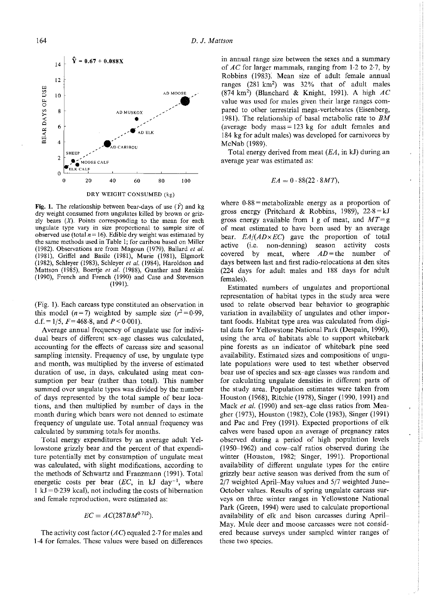

**Fig. 1.** The relationship between bear-days of use  $(\hat{Y})$  and kg **dry weight consumed from ungulates killed by brown or grizzly bears (.X). Points corresponding to the mean for each ungulate type vary in size proportional to sample size of observed use (total**  $n = 16$ **). Edible dry weight was estimated by the same methods used in Table 1; for caribou based on Miller**  (1982). Observations are from Magoun (1979), Ballard et al.  $(1981)$ , Griffel and Basile  $(1981)$ , Murie  $(1981)$ , Elgmork (1982), Schleyer (1983), Schleyer *eta/.* (1984), Haroldson and Mattson (1985), Boertje *et a/.* (1988), Gunther and Renkin (1990), French and French (1990) and Case and Stevenson  $(1991).$ 

(Fig. 1). Each carcass type constituted an observation in this model ( $n = 7$ ) weighted by sample size ( $r^2 = 0.99$ , d.f. =  $1/5$ ,  $F = 468.8$ , and  $P < 0.001$ ).

Average annual frequency of ungulate use for individual bears of different sex-age classes was calculated, **accounting for the effects of carcass size and seasonal**  sampling intensity. Frequency of use, by ungulate type and month, was multiplied by the inverse of estimated duration of use, in days, calculated using meat consumption per bear (rather than total). This number summed over ungulate types was divided by the number of days represented by the total sample of bear locations, and then multiplied by number of days in the month during which bears were not denned to estimate frequency of ungulate use. Total annual frequency was calculated by summing totals for months.

Total energy expenditures by an average adult Yellowstone grizzly bear and the percent of that expenditure potentially met by consumption of ungulate meat was calculated, with slight modifications, according to the methods of Schwartz and Franzmann (1991). Total energetic costs per bear (EC, in kJ day<sup>-1</sup>, where  $1 \text{ kJ} = 0.239 \text{ kcal}$ , not including the costs of hibernation **and female reproduction, were estimated as:** 

$$
EC = AC(287BM^{0.712}).
$$

The activity cost factor  $(AC)$  equaled 2.7 for males and 1-4 for females. These values were based on differences **in annual range size between the sexes and a summary**  of AC for larger mammals, ranging from 1·2 to 2·7, by Robbins (1983): Mean size of adult female annual ranges (281 km2) was 32% that of adult males (874 km<sup>2</sup>) (Blanchard & Knight, 1991). A high  $AC$ **value was used for males given their large ranges com**pared to other terrestrial mega-vertebrates (Eisenberg, 1981). The relationship of basal metabolic rate to *BM*  (average body mass =  $123 \text{ kg}$  for adult females and 184 kg for adult males) was developed for carnivores by McNab (1989).

Total energy derived from meat  $(EA, \text{in } kJ)$  during an **average year was estimated as:** 

$$
EA = 0.88(22.8MT),
$$

where  $0.88$  = metabolizable energy as a proportion of gross energy (Pritchard & Robbins, 1989),  $22.8 = kJ$ gross energy available from 1 g of meat, and  $MT = g$ of meat estimated to have been used by an average bear.  $EA/(AD \times EC)$  gave the proportion of total active (i.e. non-denning) season activity costs active (i.e. non-denning) season activity costs covered by meat, where  $AD$  = the number of days between last and first radio-relocations at den sites (224 days for adult males and 188 days for adult females).

Estimated numbers of ungulates and proportional representation of habitat types in the study area were used to relate observed bear behavior to geographic variation in availability of ungulates and other important foods. Habitat type area was calculated from digital data for Yellowstone National Park (Despain, 1990), using the area of habitats able to support whitebark pine forests as an indicator of whitebark pine seed availability. Estimated sizes and compositions of ungulate populations were used to test whether observed **bear use of species and sex-age classes was random and**  for calculating ungulate densities in different parts of the study area. Population estimates were taken from Houston (1968), Ritchie (1978), Singer (1990, 1991) and Mack *et a/.* (1990) and sex-age class ratios from Meagher (1973), Houston (1982), Cole (1983), Singer (1991) and Pac and Frey (1991). Expected proportions of elk **calves were based upon an average of pregnancy rates**  observed during a period of high population levels  $(1950-1962)$  and cow-calf ratios observed during the winter (Houston, 1982; Singer, 1991). Proportional availability of different ungulate types for the entire grizzly bear active season was derived from the sum of 2/7 weighted April-May values and 5/7 weighted June-October values. Results of spring ungulate carcass sur**veys on three winter ranges in Yellowstone National**  Park (Green, 1994) were used to calculate proportional availability of elk and bison carcasses during April-**May. Mule deer and moose carcasses were not considered because surveys under sampled winter ranges of**  these two species.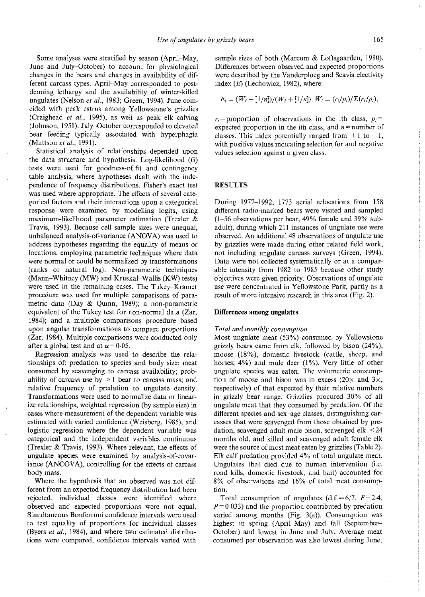Some analyses were stratified by season (April-May, June and July-October) to account for physiological changes in the bears and changes in availability of different carcass types. April-May corresponded to postdenning lethargy and the availability of winter-killed ungulates (Nelson et al., 1983; Green, 1994). June coincided with peak estrus among Yellowstone's grizzlies (Craighead *et a/.,* 1995), as well as peak elk calving (Johnson, 1951). July-October corresponded to elevated bear feeding typically associated with hyperphagia (Mattson et al., 1991).

Statistical analysis of relationships depended upon the data structure and hypothesis. Log-likelihood  $(G)$ tests were used for goodness-of-fit and contingency table analysis, where hypotheses dealt with the independence of frequency distributions. Fisher's exact test **was used where appropriate. The effects of several categorical factors and their interactions upon a categorical**  response were examined by modelling logits, using maximum-likelihood parameter estimation (Trexler & Travis, 1993). Because cell sample sizes were unequal, unbalanced analysis-of-variance (ANOVA) was used to address hypotheses regarding the equality of means or locations, employing parametric techniques where data were normal or could be normalized by transformations (ranks or natural log). Non-parametric techniques (Mann-Whitney (MW) and Kruskal-Wallis (KW) tests) **were used in the remaining cases. The Tukey-Kramer procedure was used for multiple comparisons of para**metric data (Day & Quinn, 1989); a non-parametric equivalent of the Tukey test for non-normal data (Zar, 1984); and a multiple comparisons procedure based upon angular transformations to compare proportions (Zar, 1984). Multiple comparisons were conducted only after a global test and at  $\alpha$  = 0.05.

Regression analysis was used to describe the relationships of: predation to species and body size; meat consumed by scavenging to carcass availability; prob**ability of carcass use by > 1 bear to carcass mass; and**  relative frequency of predation to ungulate density. **Transformations were used to normalize data or linear**ize relationships, weighted regression (by sample size) in **cases where measurement of the dependent variable was**  estimated with varied confidence (Weisberg, 1985), and logistic regression where the dependent variable was categorical and the independent variables continuous (Trexler & Travis, 1993). Where relevant, the effects of ungulate species were examined by analysis-of-covariance (ANCOVA), controlling for the effects of carcass body mass.

Where the hypothesis that an observed was not different from an expected frequency distribution had been rejected, individual classes were identified where **observed and expected proportions were not equal. Simultaneous Bonferroni confidence intervals were used**  to test equality of proportions for individual classes (Byers *et a/.,* 1984), and where two estimated distribu**tions were compared, confidence intervals varied with** 

sample sizes of both (Marcum & Loftsgaarden, 1980). Differences between observed and expected proportions were described by the Vanderploeg and Scavia electivity index  $(E)$  (Lechowicz, 1982), where:

$$
E_i = (W_i - [1/n])/(W_i + [1/n]), W_i = (r_i/p_i)/\Sigma(r_i/p_i),
$$

 $r_i$ =proportion of observations in the ith class,  $p_i$ = expected proportion in the ith class, and  $n =$  number of classes. This index potentially ranged from  $+1$  to  $-1$ , **with positive values indicating selection for and negative values selection against a given class.** 

#### **RESULTS**

During 1977-1992, 1773 aerial relocations from 158 different radio-marked bears were visited and sampled (I-56 observations per bear, 49% female and 39% subadult), during which 211 instances of ungulate use were observed. An additional48 observations of ungulate use by grizzlies were made during other related field work, not including ungulate carcass surveys (Green, 1994). Data were not collected systematically or at a comparable intensity from 1982 to 1985 because other study objectives were given priority. Observations of ungulate use were concentrated in Yellowstone Park, partly as a result of more intensive research in this area (Fig. 2).

#### **Differences among ungulates**

#### *Total and monthly consumption*

Most ungulate meat (53%) consumed by Yellowstone grizzly bears came from elk, followed by bison (24% ), moose (18%), domestic livestock (cattle, sheep, and horses; 4%) and mule deer (I%). Very little of other **ungulate species was eaten. The volumetric consump**tion of moose and bison was in excess (20 $\times$  and 3 $\times$ , respectively) of that expected by their relative numbers in grizzly bear range. Grizzlies procured 30% of all ungulate meat that they consumed by predation. Of the different species and sex-age classes, distinguishing carcasses that were scavenged from those obtained by predation, scavenged adult male bison, scavenged elk < 24 months old, and killed and scavenged adult female elk were the source of most meat eaten by grizzlies (Table 2). Elk calf predation provided 4% of total ungulate meat. Ungulates that died due to human intervention (i.e. road kills, domestic livestock, and bait) accounted for 8% of observations and 16% of total meat consump**tion.** 

Total consumption of ungulates  $(d.f. = 6/7, F = 2.4,$  $P = 0.033$ ) and the proportion contributed by predation varied among months (Fig. 3(a)). Consumption was highest in spring (April-May) and fall (September-October) and lowest in June and July. Average meat **consumed per observation was also lowest during June,**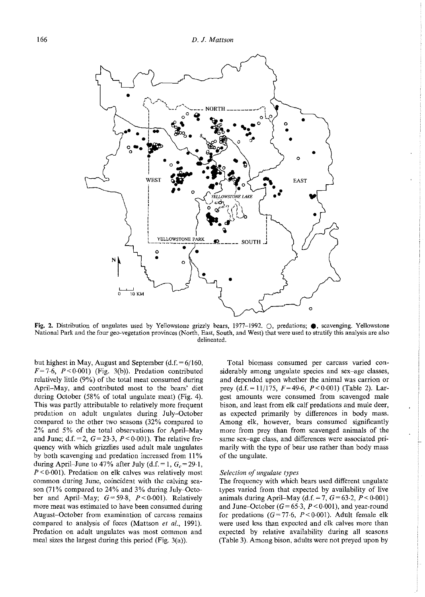

Fig. 2. Distribution of ungulates used by Yellowstone grizzly bears, 1977-1992.  $\bigcirc$ , predations;  $\bigcirc$ , scavenging. Yellowstone **National Park and the four gee-vegetation provinces (North, East, South, and West) that were used to stratify this analysis are also delineated.** 

but highest in May, August and September  $(d.f. = 6/160,$  $F=7.6$ ,  $P<0.001$ ) (Fig. 3(b)). Predation contributed relatively little (9%) of the total meat consumed during April-May, and contributed most to the bears' diet during October (58% of total ungulate meat) (Fig. 4). This was partly attributable to relatively more frequent predation on adult ungulates during July-October compared to the other two seasons (32% compared to 2% and 5% of the total observations for April-May and June; d.f. = 2,  $G = 23.3$ ,  $P < 0.001$ ). The relative frequency with which grizzlies used adult male ungulates by both scavenging and predation increased from II% during April-June to 47% after July (d.f. = 1,  $G_c$  = 29.1,  $P < 0.001$ ). Predation on elk calves was relatively most common during June, coincident with the calving season (71% compared to 24% and 3% during July-October and April-May;  $G=59.8$ ,  $P<0.001$ ). Relatively **more meat was estimated to have been consumed during August-October from examination of carcass remains**  compared to analysis of feces (Mattson *et a!.,* 1991). Predation on adult ungulates was most common and meal sizes the largest during this period (Fig. 3(a)).

**Total biomass consumed per carcass varied con**siderably among ungulate species and sex-age classes, and depended upon whether the animal was carrion or prey (d.f. = 11/175,  $F=49.6$ ,  $P<0.001$ ) (Table 2). Lar**gest amounts were consumed from scavenged male**  bison, and least from elk calf predations and mule deer, as expected primarily by differences in body mass. Among elk, however, bears consumed significantly more from prey than from scavenged animals of the **same sex-age class, and differences were associated pri**marily with the type of bear use rather than body mass of the ungulate.

#### *Selection of ungulate types*

The frequency with which bears used different ungulate types varied from that expected by availability of live animals during April-May  $(d.f. = 7, G = 63.2, P < 0.001)$ and June-October  $(G=65.3, P<0.001)$ , and year-round for predations  $(G=77.6, P<0.001)$ . Adult female elk were used less than expected and elk calves more than expected by relative availability during all seasons (Table 3). Among bison, adults were not preyed upon by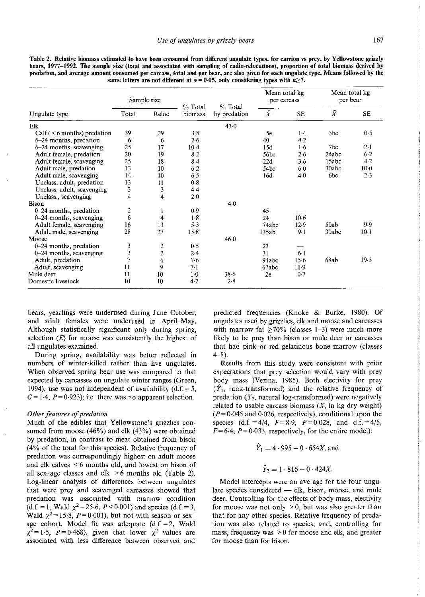|                                     | Sample size    |                | % Total<br>biomass | % Total<br>by predation | Mean total kg<br>per carcass |                  | Mean total kg<br>per bear |        |
|-------------------------------------|----------------|----------------|--------------------|-------------------------|------------------------------|------------------|---------------------------|--------|
| ngulate type                        | Total<br>Reloc | $\overline{X}$ |                    |                         | <b>SE</b>                    | $\boldsymbol{X}$ | <b>SE</b>                 |        |
| k                                   |                |                |                    | $43-0$                  |                              |                  |                           |        |
| $Calf$ ( $\leq 6$ months) predation | 39             | 29             | 3.8                |                         | 5e                           | 14               | 3bc                       | 0.5    |
| $6-24$ months, predation            | 6              | 6              | 2.6                |                         | 40                           | 4.2              |                           |        |
| 6–24 months, scavenging             | 25             | 17             | $10-4$             |                         | 15d                          | 1.6              | 7bc                       | $2-1$  |
| Adult female, predation             | 20             | 19             | 8.2                |                         | 56bc                         | 26               | 24abc                     | $6-2$  |
| Adult female, scavenging            | 25             | 18             | $8-4$              |                         | 22d                          | 36               | 15abc                     | 4.2    |
| Adult male, predation               | 13             | 10             | $6-2$              |                         | 54bc                         | 60               | 30abc                     | $10-0$ |
| Adult male, scavenging              | 14             | 10             | 6.5                |                         | 16d                          | 40               | 6bc                       | $2-3$  |
| Unclass. adult, predation           | 13             | 11             | 0.8                |                         |                              |                  |                           |        |
| Unclass. adult, scavenging          |                |                | 4.4                |                         |                              |                  |                           |        |
| Unclass., scavenging                | 4              | 4              | $2 - 0$            |                         |                              |                  |                           |        |
| son                                 |                |                |                    | $4-0$                   |                              |                  |                           |        |
| $0-24$ months, predation            | 2              |                | 0.9                |                         | 45                           |                  |                           |        |
| 0–24 months, scavenging             | 6              |                | 1·8                |                         | 24                           | $10-6$           |                           |        |

46-0

 $38.6$ 2-8

**Table 2. Relative biomass estimated to have been consumed from different ungulate types, for carrion vs prey, by Yellowstone grizzly bears, 1977-1992. The sample size (total and associated with sampling of radio-relocations), proportion of total biomass derived by predation, and average amount consumed per carcass, total and per bear, are also given for each ungulate type. Means followed by the** 

bears, yearlings were underused during June-October, and adult females were underused in April-May. Although statistically significant only during spring, selection  $(E)$  for moose was consistently the highest of all ungulates examined.

0-24 months, scavenging 6 4 1.8<br>
Adult female, scavenging 16 13 5.3 **Adult female, scavenging 16** 13 5-3<br> **Adult male, scavenging 28** 27 15-8

**0--24 months, predation** 3 2 0-5 **0--24 months, scavenging** 3 2 2-4 **Adult, predation** 7 6 7-6 **Adult, scavenging 11 9 7.1**<br> **Mule deer** 11 10 1.0 **Mule deer**  $\begin{array}{ccc} 2 & 5 & 11 & 10 & 1 \end{array}$ **Domestic livestock** 10 10 4-2

During spring, availability was better reflected in numbers of winter-killed rather than live ungulates. When observed spring bear use was compared to that expected by carcasses on ungulate winter ranges (Green, 1994), use was not independent of availability ( $d.f. = 5$ ,  $G = 1.4$ ,  $P = 0.923$ ; i.e. there was no apparent selection.

#### *Other features of predation*

**Ungulate type** 

Adult male, scavenging

Elk

**Bison** 

**Moose** 

Much of the edibles that Yellowstone's grizzlies consumed from moose (46%) and elk (43%) were obtained by predation, in contrast to meat obtained from bison (4% of the total for this species). Relative frequency of predation was correspondingly highest on adult moose and elk calves < 6 months old, and lowest on bison of all sex-age classes and elk  $>6$  months old (Table 2). Log-linear analysis of differences between ungulates that were prey and scavenged carcasses showed that **predation was associated with marrow condition**  (d.f. = 1, Wald  $\chi^2$  = 25.6, *P* < 0.001) and species (d.f. = 3, Wald  $\chi^2$  = 15.8, P = 0.001), but not with season or sexage cohort. Model fit was adequate (d.f.=2, Wald  $\chi^2 = 1.5$ ,  $P = 0.468$ , given that lower  $\chi^2$  values are associated with less difference between observed and

predicted frequencies (Knoke & Burke, 1980). Of ungulates used by grizzlies, elk and moose and carcasses with marrow fat  $\geq 70\%$  (classes 1-3) were much more likely to be prey than bison or mule deer or carcasses that had pink or red gelatinous bone marrow (classes 4-8).

 $10-6$ <br> $12-9$ 

 $\frac{6}{15}$ -6

67abc 11.9<br>2e 0.7

135ab

23

74abc 12.9 50ab 9.9<br>35ab 9.1 30abc 10.1

94abc 15-6 68ab 19-3<br>67abc 11-9

Results from this study were consistent with prior expectations that prey selection would vary with prey body mass (Vezina, 1985). Both electivity for prey  $(\hat{Y}_1, \text{ rank-transformed})$  and the relative frequency of predation  $(\hat{Y}_2)$ , natural log-transformed) were negatively related to usable carcass biomass  $(X, \text{ in } \text{kg} \text{ dry weight})$  $(P= 0.045$  and 0.026, respectively), conditional upon the species  $(d.f. = 4/4, F = 8.9, P = 0.028, and d.f. = 4/5,$  $F= 6.4$ ,  $P= 0.033$ , respectively, for the entire model):

$$
\hat{Y}_1 = 4.995 - 0.654X
$$
, and  
 $\hat{Y}_2 = 1.816 - 0.424X$ .

**Model intercepts were an average for the four ungulate species considered - elk, bison, moose, and mule**  deer. Controlling for the effects of body mass, electivity for moose was not only  $> 0$ , but was also greater than that for any other species. Relative frequency of predation was also related to species; and, controlling for mass, frequency was > 0 for moose and elk, and greater for moose than for bison.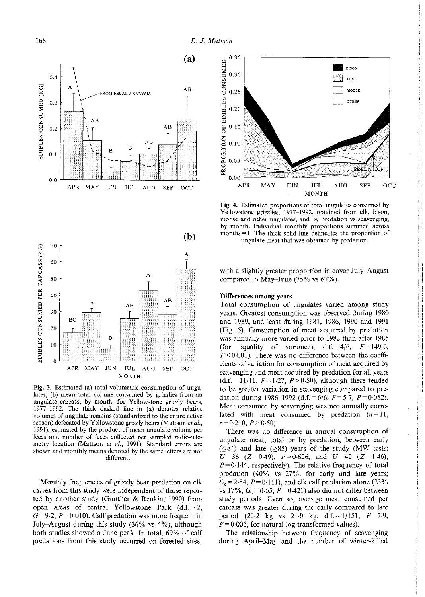



Fig. 3. Estimated (a) total volumetric consumption of ungulates; (b) mean total volume consumed by grizzlies from an ungulate carcass, by month, for Yellowstone grizzly bears, 1977-1992. The thick dashed line in (a) denotes relative volumes of ungulate remains (standardized to the entire active season) defecated by Yellowstone grizzly bears (Mattson et al., 1991), estimated by the product of mean ungulate volume per feces and number of feces collected per sampled radio-telemetry location (Mattson *et al.,* 1991). Standard errors are shown and monthly means denoted by the same letters are not different.

Monthly frequencies of grizzly bear predation on elk calves from this study were independent of those reported by another study (Gunther & Renkin, 1990) from open areas of central Yellowstone Park  $(d.f.=2)$ ,  $G=9.2$ ,  $P=0.010$ ). Calf predation was more frequent in July-August during this study (36% vs 4%), although both studies showed a June peak. In total, 69% of calf predations from this study occurred on forested sites,



Fig. 4. Estimated proportions of total ungulates consumed by Yellowstone grizzlies, 1977-1992, obtained from elk, bison, moose and other ungulates, and by predation vs scavenging, by month. Individual monthly proportions summed across months= 1. The thick solid line delineates the proportion of ungulate meat that was obtained by predation.

with a slightly greater proportion in cover July-August compared to May-June (75% vs 67%).

#### Differences among years

Total consumption of ungulates varied among study years. Greatest consumption was observed during 1980 and 1989, and least during 1981, 1986, 1990 and 1991 (Fig. 5). Consumption of meat acquired by predation was annually more varied prior to 1982 than after 1985 (for equality of variances,  $d.f. = 4/6$ ,  $F = 149.6$ ,  $P < 0.001$ ). There was no difference between the coefficients of variation for consumption of meat acquired by scavenging and meat acquired by predation for all years  $(d.f. = 11/11, F = 1.27, P > 0.50)$ , although there tended to be greater variation in scavenging compared to predation during 1986–1992 (d.f. =  $6/6$ ,  $F = 5.7$ ,  $P = 0.052$ ). Meat consumed by scavenging was not annually correlated with meat consumed by predation  $(n=11)$ ,  $r=0.210, P>0.50$ ).

There was no difference in annual consumption of ungulate meat, total or by predation, between early  $(< 84$ ) and late ( $> 85$ ) years of the study (MW tests;  $U=36$  (Z=0-49),  $P=0.626$ , and  $U=42$  (Z=1-46),  $P=0.144$ , respectively). The relative frequency of total predation (40% vs 27%, for early and late years;  $G<sub>c</sub>=2.54, P=0.111$ , and elk calf predation alone (23%) vs 17%;  $G_c = 0.65$ ,  $P = 0.421$ ) also did not differ between study periods. Even so, average meat consumed per carcass was greater during the early compared to late period (29.2 kg vs 21.0 kg; d.f. =  $1/151$ ,  $F=7.9$ ,  $P=0.006$ , for natural log-transformed values).

The relationship between frequency of scavenging during April-May and the number of winter-killed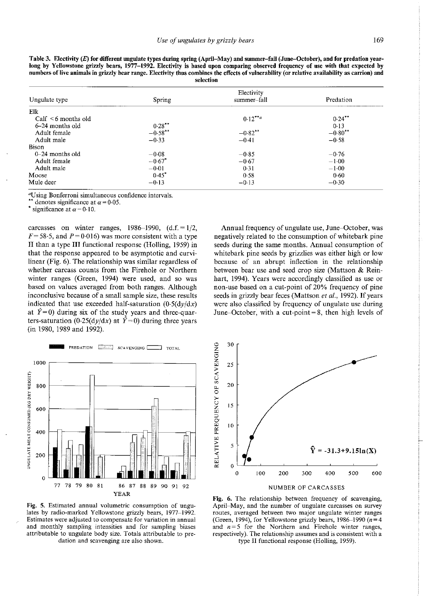| numbers of live animals in grizzly bear range. Electivity thus combines the effects of vulnerability (or relative availability as carrion) and<br>selection |                      |                           |           |  |  |
|-------------------------------------------------------------------------------------------------------------------------------------------------------------|----------------------|---------------------------|-----------|--|--|
| Ungulate type                                                                                                                                               | Spring               | Electivity<br>summer-fall | Predation |  |  |
| Elk                                                                                                                                                         |                      |                           |           |  |  |
| $Calf \leq 6$ months old                                                                                                                                    |                      | $0.12***$                 | $0.24***$ |  |  |
| 6–24 months old                                                                                                                                             | $0.28***$            |                           | 0.13      |  |  |
| Adult female                                                                                                                                                | $-0.58***$           | $-0.82***$                | $-0.80**$ |  |  |
| Adult male                                                                                                                                                  | $-0.33$              | $-0.41$                   | $-0.58$   |  |  |
| <b>Bison</b>                                                                                                                                                |                      |                           |           |  |  |
| $0-24$ months old                                                                                                                                           | $-0.08$              | $-0.85$                   | $-0.76$   |  |  |
| Adult female                                                                                                                                                | $-0.67$ <sup>*</sup> | $-0.67$                   | $-1.00$   |  |  |
| Adult male                                                                                                                                                  | $-0.01$              | 0.31                      | $-1.00$   |  |  |
| Moose                                                                                                                                                       | $0.45*$              | 0.58                      | 0.60      |  |  |
| Mule deer                                                                                                                                                   | $-0.13$              | $-0.13$                   | $-0.30$   |  |  |

**Table 3. Electivity (E) for different ungulate types during spring (April-May) and summer-fall (June-October), and for predation yearlong by Yellowstone grizzly bears, 1977-1992. Electivity is based upon comparing observed frequency of use with that expected by numbers of live animals in grizzly bear range. Electivity thus combines the effects of vulnerability (or relative availability as carrion) and** 

<sup>a</sup>Using Bonferroni simultaneous confidence intervals.

denotes significance at  $\alpha$  = 0.05.

significance at  $\alpha = 0.10$ .

carcasses on winter ranges,  $1986-1990$ ,  $(d.f. = 1/2)$ ,  $F=58.5$ , and  $P=0.016$ ) was more consistent with a type II than a type III functional response (Holling, 1959) in that the response appeared to be asymptotic and curvilinear (Fig. 6). The relationship was similar regardless of whether carcass counts from the Firehole or Northern winter ranges (Green, 1994) were used, and so was based on values averaged from both ranges. Although **inconclusive because of a small sample size, these results**  indicated that use exceeded half-saturation  $(0.5(dy/dx))$ at  $\hat{Y} = 0$ ) during six of the study years and three-quarters-saturation (0.25(dy/dx) at  $\hat{Y}=0$ ) during three years (in 1980, 1989 and 1992).



**Fig. 5. Estimated annual volumetric consumption of ungulates by radio-marked Yellowstone grizzly bears, 1977-1992. Estimates were adjusted to compensate for variation in annual and monthly sampling intensities and for sampling biases attributable to ungulate body size. Totals attributable to predation and scavenging are also shown.** 

Annual frequency of ungulate use, June-October, was negatively related to the consumption of whitebark pine seeds during the same months. Annual consumption of whitebark pine seeds by grizzlies was either high or low because of an abrupt inflection in the relationship between bear use and seed crop size (Mattson & Reinhart, 1994). Years were accordingly classified as use or non-use based on a cut-point of 20% frequency of pine seeds in grizzly bear feces (Mattson *et al.*, 1992). If years were also classified by frequency of ungulate use during June–October, with a cut-point  $= 8$ , then high levels of



**Fig. 6. The relationship between frequency of scavenging, April-May, and the number of ungulate carcasses on survey routes, averaged between two major ungulate winter ranges**  (Green, 1994), for Yellowstone grizzly bears, 1986–1990 ( $n=4$ ) and  $n = 5$  for the Northern and Firehole winter ranges, **respectively). The relationship assumes and is consistent with a**  type II functional response (Holling, 1959).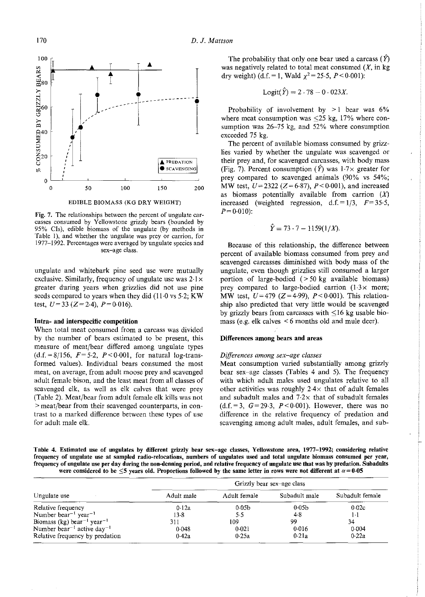

EDIBLE BIOMASS (KG DRY WEIGHT)

**Fig. 7. The relationships between the percent of ungulate carcasses consumed by Yellowstone grizzly bears (bounded by 95% Cis), edible biomass of the ungulate (by methods in**  Table 1), and whether the ungulate was prey or carrion, for **1977-1992. Percentages were averaged by ungulate species and sex-age class.** 

ungulate and whitebark pine seed use were mutually exclusive. Similarly, frequency of ungulate use was  $2.1 \times$ greater during years when grizzlies did not use pine seeds compared to years when they did (11·0 vs 5-2; KW test,  $U=33$  ( $Z=2.4$ ),  $P=0.016$ ).

#### **Intra- and interspecific competition**

When total meat consumed from a carcass was divided by the number of bears estimated to be present, this measure of meat/bear differed among ungulate types  $(d.f. = 8/156, F = 5.2, P < 0.001,$  for natural log-transformed values). Individual bears consumed the most meat, on average, from adult moose prey and scavenged adult female bison, and the least meat from all classes of scavenged elk, as well as elk calves that were prey (Table 2). Meat/bear from adult female elk kills was not **>meat/bear from their scavenged counterparts, in con**trast to a marked difference between these types of use for adult male elk.

The probability that only one bear used a carcass  $(\hat{Y})$ was negatively related to total meat consumed  $(X, \text{ in } \text{kg})$ dry weight) (d.f. = 1, Wald  $\chi^2$  = 25.5, P < 0.001):

$$
Logit(\hat{Y}) = 2 \cdot 78 - 0 \cdot 023X.
$$

Probability of involvement by  $>1$  bear was 6% where meat consumption was  $\leq 25$  kg, 17% where consumption was 26-75 kg, and 52% where consumption exceeded 75 kg.

The percent of available biomass consumed by grizzlies varied by whether the ungulate was scavenged or their prey and, for scavenged carcasses, with body mass (Fig. 7). Percent consumption  $(\hat{Y})$  was  $1.7 \times$  greater for prey compared to scavenged animals (90% vs 54%; MW test,  $U = 2322$  ( $Z = 6.87$ ),  $P < 0.001$ ), and increased as biomass potentially available from carrion  $(X)$ increased (weighted regression,  $d.f. = 1/3$ ,  $F = 35.5$ ,  $P = 0.010$ :

$$
\hat{Y} = 73 \cdot 7 - 1159(1/X).
$$

Because of this relationship, the difference between percent of available biomass consumed from prey and scavenged carcasses diminished with body mass of the ungulate, even though grizzlies still consumed a larger portion of large-bodied  $(>50 \text{ kg}$  available biomass) prey compared to large-bodied carrion (1-3x more; MW test,  $U=479$  (Z=4.99),  $P < 0.001$ ). This relationship also predicted that very little would be scavenged by grizzly bears from carcasses with  $\leq 16$  kg usable biomass (e.g. elk calves < 6 months old and mule deer).

#### **Differences among bears and areas**

#### *Differences among sex-age classes*

Meat consumption varied substantially among grizzly bear sex-age classes (Tables 4 and 5). The frequency with which adult males used ungulates relative to all other activities was roughly  $2.4 \times$  that of adult females and subadult males and  $7.2\times$  that of subadult females  $(d.f. = 3, G = 29.3, P < 0.001)$ . However, there was no difference in the relative frequency of predation and scavenging among adult males, adult females, and sub-

Table 4. Estimated use of ungulates by different grizzly bear sex-age classes, Yellowstone area, 1977-1992; considering relative **frequency of ungulate use at sampled radio-relocations, numbers of ungulates used and total ungulate biomass consumed per year, frequency of ungulate use per day during the non-denning period, and relative frequency of ungulate use that was by predation. Subadults**  were considered to be  $\leq$ 5 years old. Proportions followed by the same letter in rows were not different at  $\alpha$  = 0.05

|                                                    | Grizzly bear sex-age class |                   |                   |                 |  |  |
|----------------------------------------------------|----------------------------|-------------------|-------------------|-----------------|--|--|
| Ungulate use                                       | Adult male                 | Adult female      | Subadult male     | Subadult female |  |  |
| Relative frequency                                 | 0.12a                      | 0.05 <sub>b</sub> | 0.05 <sub>b</sub> | 0.02c           |  |  |
| Number bear <sup>-1</sup> year <sup>-1</sup>       | $13-8$                     | $5-5$             | 4.8               | $1-1$           |  |  |
| Biomass (kg) bear <sup>-1</sup> year <sup>-1</sup> | 311                        | 109               | 99                | 34              |  |  |
| Number bear <sup>-1</sup> active day <sup>-1</sup> | 0.048                      | 0.021             | 0.016             | 0.004           |  |  |
| Relative frequency by predation                    | 0.42a                      | 0.25a             | 0.21a             | 0.22a           |  |  |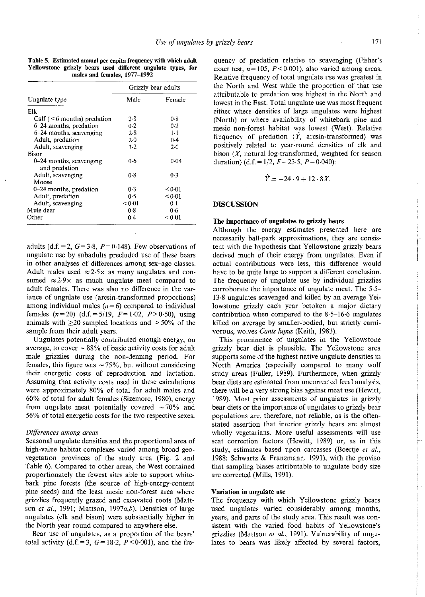**Table 5. Estimated annual per capita frequency with which adult Yellowstone grizzly bears used different ungulate types, for males and females, 1977-1992** 

|                                          | Grizzly bear adults |             |  |  |
|------------------------------------------|---------------------|-------------|--|--|
| Ungulate type                            | Male                | Female      |  |  |
| Elk                                      |                     |             |  |  |
| Calf $($ < 6 months) predation           | 2.8                 | 0.8         |  |  |
| 6–24 months, predation                   | 0.2                 | 0.2         |  |  |
| 6–24 months, scavenging                  | 2.8                 | $1-1$       |  |  |
| Adult, predation                         | 2.0                 | $0-4$       |  |  |
| Adult, scavenging                        | $3-2$               | $2-0$       |  |  |
| Bison                                    |                     |             |  |  |
| 0-24 months, scavenging<br>and predation | 06                  | 0.04        |  |  |
| Adult, scavenging                        | 0.8                 | 0.3         |  |  |
| Moose                                    |                     |             |  |  |
| 0-24 months, predation                   | $0-3$               | ${}_{0.01}$ |  |  |
| Adult, predation                         | 0.5                 | < 0.01      |  |  |
| Adult, scavenging                        | < 0.01              | 0·1         |  |  |
| Mule deer                                | 0.8                 | 0.6         |  |  |
| Other                                    | 0.4                 | < 0.01      |  |  |

adults (d.f. = 2,  $G = 3.8$ ,  $P = 0.148$ ). Few observations of ungulate use by subadults precluded use of these bears **in other analyses of differences among sex-age classes.**  Adult males used  $\approx$  2.5 $\times$  as many ungulates and consumed  $\approx$  2.9 $\times$  as much ungulate meat compared to adult females. There was also no difference in the variance of ungulate use (arcsin-transformed proportions) among individual males  $(n=6)$  compared to individual females  $(n=20)$   $(d.f. = 5/19, F=1.02, P>0.50)$ , using animals with  $\geq 20$  sampled locations and  $>50\%$  of the sample from their adult years.

Ungulates potentially contributed enough energy, on average, to cover  $\sim 88\%$  of basic activity costs for adult male grizzlies during the non-denning period. For females, this figure was  $\sim 75\%$ , but without considering their energetic costs of reproduction and lactation. Assuming that activity costs used in these calculations were approximately 80% of total for adult males and 60% of total for adult females (Sizemore, 1980), energy from ungulate meat potentially covered  $\sim$  70% and 56% of total energetic costs for the two respective sexes.

#### *Differences among areas*

Seasonal ungulate densities and the proportional area of high-value habitat complexes varied among broad geovegetation provinces of the study area (Fig. 2 and Table 6). Compared to other areas, the West contained proportionately the fewest sites able to support whitebark pine forests (the source of high-energy-content pine seeds) and the least mesic non-forest area where grizzlies frequently grazed and excavated roots (Mattson *et al.*, 1991; Mattson, 1997a,b). Densities of large ungulates (elk and bison) were substantially higher in the North year-round compared to anywhere else.

Bear use of ungulates, as a proportion of the bears' total activity (d.f. = 3,  $G=18.2$ ,  $P<0.001$ ), and the fre-

quency of predation relative to scavenging (Fisher's exact test,  $n = 105$ ,  $P < 0.001$ ), also varied among areas. Relative frequency of total ungulate use was greatest in the North and West while the proportion of that use attributable to predation was highest in the North and lowest in the East. Total ungulate use was most frequent either where densities of large ungulates were highest (North) or where availability of whitebark pine and mesic non-forest habitat was lowest (West). Relative frequency of predation  $(\hat{Y}, \text{arcsin-transformed})$  was positively related to year-round densities of elk and bison  $(X,$  natural log-transformed, weighted for season duration) (d.f. =  $1/2$ ,  $F = 23.5$ ,  $P = 0.040$ ):

$$
\hat{Y} = -24 \cdot 9 + 12 \cdot 8X.
$$

#### **DISCUSSION**

#### **The importance of ungulates to grizzly bears**

Although the energy estimates presented here are necessarily ball-park approximations, they are consistent with the hypothesis that Yellowstone grizzly bears derived much of their energy from ungulates. Even if actual contributions were less, this difference would have to be quite large to support a different conclusion. The frequency of ungulate use by individual grizzlies corroborate the importance of ungulate meat. The 5·5- 13·8 ungulates scavenged and killed by an average Yellowstone grizzly each year betoken a major dietary contribution when compared to the 8·5-16·6 ungulates killed on average by smaller-bodied, but strictly carnivorous, wolves *Canis lupus* (Keith, 1983).

This prominence of ungulates in the Yellowstone grizzly bear diet is plausible. The Yellowstone area supports some of the highest native ungulate densities in North America (especially compared to many wolf study areas (Fuller, 1989). Furthermore, when grizzly **bear diets are estimated from uncorrected fecal analysis,**  there will be a very strong bias against meat use (Hewitt, 1989). Most prior assessments of ungulates in grizzly bear diets or the importance of ungulates to grizzly bear populations are, therefore, not reliable, as is the often**stated assertion that interior grizzly bears are almost**  wholly vegetarians. More useful assessments will use scat correction factors (Hewitt, 1989) or, as in this study, estimates based upon carcasses (Boertje *et a/.,*  1988; Schwartz & Franzmann, 1991), with the proviso that sampling biases attributable to ungulate body size are corrected (Mills, 1991).

#### **Variation in ungulate use**

The frequency with which Yellowstone grizzly bears used ungulates varied considerably among months, years, and parts of the study area. This result was consistent with the varied food habits of Yellowstone's grizzlies (Mattson *et a/.,* 1991). Vulnerability of ungulates to bears was likely affected by several factors,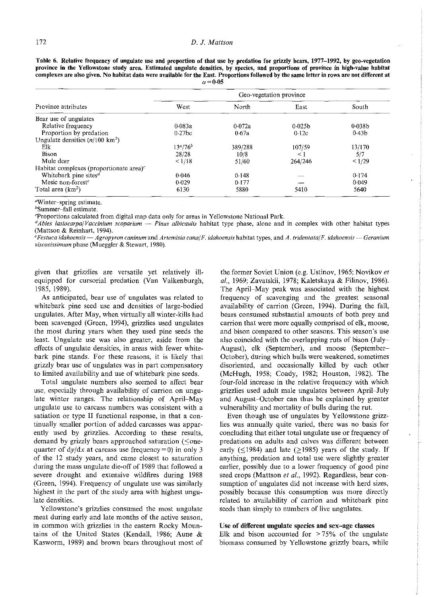**Table 6. Relative frequency of ungulate use and proportion of that use by predation for grizzly bears, 1977-1992, by geo-vegetation province in the Yellowstone study area. Estimated ungulate densities, by species, and proportions of province in high-value habitat complexes are also given. No habitat data were available for the East. Proportions followed by the same letter in rows are not different at**   $\alpha=0.05$ 

|                                                   | Geo-vegetation province |         |                    |                    |  |  |
|---------------------------------------------------|-------------------------|---------|--------------------|--------------------|--|--|
| Province attributes                               | West                    | North   | East               | South              |  |  |
| Bear use of ungulates                             |                         |         |                    |                    |  |  |
| Relative frequency                                | 0.083a                  | 0.072a  | 0.025 <sub>b</sub> | 0.038 <sub>b</sub> |  |  |
| Proportion by predation                           | $0.27$ bc               | 0.67a   | 0.12c              | 0.43 <sub>b</sub>  |  |  |
| Ungulate densities $(n/100 \text{ km}^2)$         |                         |         |                    |                    |  |  |
| Elk                                               | $13^a/76^b$             | 389/288 | 107/59             | 13/170             |  |  |
| Bison                                             | 28/28                   | 10/8    | $\lt$ 1            | 5/7                |  |  |
| Mule deer                                         | 1/18                    | 51/60   | 264/246            | 1/29               |  |  |
| Habitat complexes (proportionate area) $\epsilon$ |                         |         |                    |                    |  |  |
| Whitebark pine sites <sup>d</sup>                 | 0.046                   | 0.148   |                    | 0.174              |  |  |
| Mesic non-forest <sup>e</sup>                     | 0.029                   | 0.177   |                    | 0.049              |  |  |
| Total area $(km2)$                                | 6130                    | 5880    | 5410               | 5640               |  |  |

<sup>a</sup>Winter-spring estimate. hSummer~fall estimate.

cproportions calculated from digital map data only for areas in Yellowstone National Park.

*dAbies lasiocarpa/Vaccinium scoparium — Pinus albicaulis* habitat type phase, alone and in complex with other habitat types (Mattson & Reinhart, 1994).

*e Festuca idahoensis* ~Agropyron *caninum* and *Artemisia canal F. idahoensis* habitat types, and *A. tridentata/F. idahoensis* ~Geranium *viscosissimum* phase (Mueggler & Stewart, 1980).

given that grizzlies are versatile yet relatively illequipped for cursorial predation (Van Valkenburgh, 1985, 1989).

As anticipated, bear use of ungulates was related to whitebark pine seed use and densities of large-bodied ungulates. After May, when virtually all winter-kills had been scavenged (Green, 1994), grizzlies used ungulates the most during years when they used pine seeds the least. Ungulate use was also greater, aside from the effects of ungulate densities, in areas with fewer whitebark pine stands. For these reasons, it is likely that grizzly bear use of ungulates was in part compensatory to limited availability and use of whitebark pine seeds.

Total ungulate numbers also seemed to affect bear use, especially through availability of carrion on ungulate winter ranges. The relationship of April-May ungulate use to carcass numbers was consistent with a satiation or type II functional response, in that a continually smaller portion of added carcasses was apparently used by grizzlies. According to these results, demand by grizzly bears approached saturation ( $\leq$ onequarter of  $dy/dx$  at carcass use frequency = 0) in only 3 of the 12 study years, and came closest to saturation during the mass ungulate die-off of 1989 that followed a severe drought and extensive wildfires during 1988 (Green, 1994). Frequency of ungulate use was similarly highest in the part of the study area with highest ungulate densities.

Yellowstone's grizzlies consumed the most ungulate meat during early and late months of the active season, in common with grizzlies in the eastern Rocky Mountains of the United States (Kendall, 1986; Aune & Kasworm, 1989) and brown bears throughout most of

the former Soviet Union (e.g. Ustinov, 1965; Novikov *et a/.,* 1969; Zavatskii, 1978; Kaletskaya & Filinov, 1986). The April-May peak was associated with the highest frequency of scavenging and the greatest seasonal availability of carrion (Green, 1994). During the fall, bears consumed substantial amounts of both prey and carrion that were more equally comprised of elk, moose, and bison compared to other seasons. This season's use also coincided with the overlapping ruts of bison (July-August), elk (September), and moose (September-October), during which bulls were weakened, sometimes disoriented, and occasionally killed by each other (McHugh, 1958; Coady, 1982; Houston, 1982). The four-fold increase in the relative frequency with which grizzlies used adult male ungulates between April-July and August-October can thus be explained by greater vulnerability and mortality of bulls during the rut.

Even though use of ungulates by Yellowstone grizzlies was annually quite varied, there was no basis for concluding that either total ungulate use or frequency of predations on adults and calves was different between early ( $\leq$ 1984) and late ( $\geq$ 1985) years of the study. If anything, predation and total use were slightly greater earlier, possibly due to a lower frequency of good pine seed crops (Mattson et al., 1992). Regardless, bear consumption of ungulates did not increase with herd sizes, possibly because this consumption was more directly related to availability of carrion and whitebark pine seeds than simply to numbers of live ungulates.

#### Use of different ungulate species and sex-age classes

Elk and bison accounted for  $> 75\%$  of the ungulate biomass consumed by Yellowstone grizzly bears, while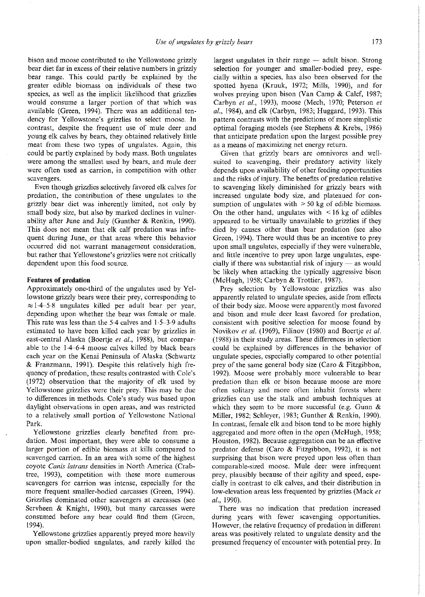bison and moose contributed to the Yellowstone grizzly bear diet far in excess of their relative numbers in grizzly bear range. This could partly be explained by the greater edible biomass on individuals of these two species, as well as the implicit likelihood that grizzlies would consume a larger portion of that which was available (Green, 1994). There was an additional tendency for Yellowstone's grizzlies to select moose. In contrast, despite the frequent use of mule deer and young elk calves by bears, they obtained relatively little meat from these two types of ungulates. Again, this could be partly explained by body mass. Both ungulates were among the smallest used by bears, and mule deer **were often used as carrion, in competition with other scavengers.** 

Even though grizzlies selectively favored elk calves for predation, the contribution of these ungulates to the grizzly bear diet was inherently limited, not only by small body size, but also by marked declines in vulnerability after June and July (Gunther & Renkin, 1990). This does not mean that elk calf predation was infrequent during June, or that areas where this behavior **occurred did not warrant management consideration,**  but rather that Yellowstone's grizzlies were not critically dependent upon this food source.

#### **Features of predation**

Approximately one-third of the ungulates used by Yellowstone grizzly bears were their prey, corresponding to  $\approx$  1.4-5.8 ungulates killed per adult bear per year, depending upon whether the bear was female or male. This rate was less than the 5·4 calves and 1·5-3·9 adults estimated to have been killed each year by grizzlies in east-central Alaska (Boertje et al., 1988), but comparable to the 1·4-6·4 moose calves killed by black bears each year on the Kenai Peninsula of Alaska (Schwartz & Franzmann, 1991). Despite this relatively high frequency of predation, these results contrasted with Cole's (1972) observation that the majority of elk used by Yellowstone grizzlies were their prey. This may be due to differences in methods. Cole's study was based upon **daylight observations in open areas, and was restricted**  to a relatively small portion of Yellowstone National Park.

Yellowstone grizzlies clearly benefited from predation. Most important, they were able to consume a larger portion of edible biomass at kills compared to scavenged carrion. In an area with some of the highest coyote *Canis /atrans* densities in North America (Crab**tree, 1993), competition with these more numerous scavengers for carrion was intense, especially for the**  more frequent smaller-bodied carcasses (Green, 1994). **Grizzlies dominated other scavengers at carcasses (see**  Servheen & Knight, 1990), but many carcasses were consumed before any bear could find them (Green, 1994).

Yellowstone grizzlies apparently preyed more heavily upon smaller-bodied ungulates, and rarely killed the

largest ungulates in their range  $-$  adult bison. Strong selection for younger and smaller-bodied prey, especially within a species, has also been observed for the spotted hyena (Kruuk, 1972; Mills, 1990), and for wolves preying upon bison (Van Camp & Calef, 1987; Carbyn *eta/.,* 1993), moose (Mech, 1970; Peterson *et a/.,* 1984), and elk (Carbyn, 1983; Huggard, 1993). This pattern contrasts with the predictions of more simplistic optimal foraging models (see Stephens & Krebs, 1986) that anticipate predation upon the largest possible prey **as a means of maximizing net energy return.** 

**Given that grizzly bears are omnivores and well**suited to scavenging, their predatory activity likely depends upon availability of other feeding opportunities and the risks of injury. The benefits of predation relative to scavenging likely diminished for grizzly bears with increased ungulate body size, and plateaued for consumption of ungulates with  $>50$  kg of edible biomass. On the other hand, ungulates with  $\leq 16$  kg of edibles appeared to be virtually unavailable to grizzlies if they died by causes other than bear predation (see also Green, 1994). There would thus be an incentive to prey upon small ungulates, especially if they were vulnerable, and little incentive to prey upon large ungulates, especially if there was substantial risk of injury  $-$  as would be likely when attacking the typically aggressive bison (McHugh, 1958; Carbyn & Trottier, 1987).

Prey selection by Yellowstone grizzlies was also apparently related to ungulate species, aside from effects of their body size. Moose were apparently most favored **and bison and mule deer least favored for predation, consistent with positive selection for moose found by**  Novikov *et al.* (1969), Filinov (1980) and Boertje *et al.* (1988) in their study areas. These differences in selection could be explained by differences in the behavior of ungulate species, especially compared to other potential prey of the same general body size (Caro & Fitzgibbon, 1992). Moose were probably more vulnerable to bear **predation than elk or bison because moose are more**  often solitary and more often inhabit forests where grizzlies can use the stalk and ambush techniques at which they seem to be more successful (e.g. Gunn  $&$ Miller, 1982; Schleyer, 1983; Gunther & Renkin, 1990). In contrast, female elk and bison tend to be more highly aggregated and more often in the open (McHugh, 1958; Houston, 1982). Because aggregation can be an effective predator defense (Caro & Fitzgibbon, 1992), it is not surprising that bison were preyed upon less often than comparable-sized moose. Mule deer were infrequent prey, plausibly because of their agility and speed, especially in contrast to elk calves, and their distribution in low-elevation areas less frequented by grizzlies (Mack *et a/.,* 1990).

There was no indication that predation increased during years with fewer scavenging opportunities. However, the relative frequency of predation in different areas was positively related to ungulate density and the presumed frequency of encounter with potential prey. In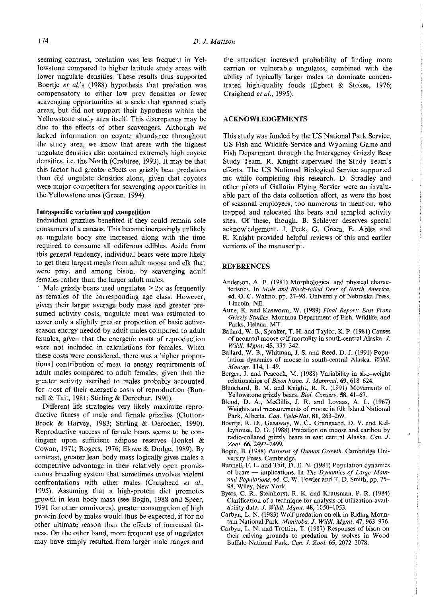seeming contrast, predation was less frequent in Yellowstone compared to higher latitude study areas with lower ungulate densities. These results thus supported Boertje *et a!.'s* (1988) hypothesis that predation was compensatory to either low prey densities or fewer scavenging opportunities at a scale that spanned study areas, but did not support their hypothesis within the Yellowstone study area itself. This discrepancy may be due to the effects of other scavengers. Although we lacked information on coyote abundance throughout the study area, we know that areas with the highest ungulate densities also contained extremely high coyote densities, i.e. the North (Crabtree, 1993). It may be that this factor had greater effects on grizzly bear predation than did ungulate densities alone, given that coyotes **were major competitors for scavenging opportunities in**  the Yellowstone area (Green, 1994).

#### **Intraspecific variation and competition**

Individual grizzlies benefited if they could remain sole **consumers of a carcass. This became increasingly unlikely**  as ungulate body size increased along with the time required to consume all odiferous edibles. Aside from this general tendency, individual bears were more likely to get their largest meals from adult moose and elk that were prey, and among bison, by scavenging adult females rather than the larger adult males.

Male grizzly bears used ungulates  $> 2 \times$  as frequently as females of the corresponding age class. However, given their larger average body mass and greater pre**sumed activity costs, ungulate meat was estimated to**  cover only a slightly greater proportion of basic activeseason energy needed by adult males compared to adult females, given that the energetic costs of reproduction were not included in calculations for females. When these costs were considered, there was a higher propor**tional contribution of meat to energy requirements of**  adult males compared to adult females, given that the greater activity ascribed to males probably accounted for most of their energetic costs of reproduction (Bunnell & Tait, 1981; Stirling & Derocher, 1990).

Different life strategies very likely maximize reproductive fitness of male and female grizzlies (Clutton-Brock & Harvey, 1983; Stirling & Derocher, 1990). **Reproductive success of female bears seems to be con**tingent upon sufficient adipose reserves (Jonkel & Cowan, 1971; Rogers, 1976; Elowe & Dodge, 1989). By contrast, greater lean body mass logically gives males a competitive advantage in their relatively open promis**cuous breeding system that sometimes involves violent**  confrontations with other males (Craighead *et a/.,*  1995). Assuming that a high-protein diet promotes growth in lean body mass (see Bogin, 1988 and Speer, 1991 for other omnivores), greater consumption of high protein food by males would thus be expected, if for no other ultimate reason than the effects of increased fitness. On the other hand, more frequent use of ungulates may have simply resulted from larger male ranges and

the attendant increased probability of finding more carrion or vulnerable ungulates, combined with the ability of typically larger males to dominate concentrated high-quality foods (Egbert & Stokes, 1976; Craighead *eta!.,* 1995).

#### **ACKNOWLEDGEMENTS**

This study was funded by the US National Park Service, US Fish and Wildlife Service and Wyoming Game and Fish Department through the Interagency Grizzly Bear Study Team. R. Knight supervised the Study Team's efforts. The US National Biological Service supported me while completing this research. D. Stradley and other pilots of Gallatin Flying Service were an invaluable part of the data collection effort, as were the host **of seasonal employees, too numerous to mention, who**  trapped and relocated the bears and sampled activity sites. Of these, though, B. Schleyer deserves special acknowledgement. J. Peek, G. Green, E. Ables and R. Knight provided helpful reviews of this and earlier **versions of the manuscript.** 

#### **REFERENCES**

- Anderson, A. E. (1981) Morphological and physical charac**teristics. In** *Mule and Black-tailed Deer of North America,*  ed. 0. C. Walmo, pp. 27-98. University of Nebraska Press, **Lincoln, NE.**
- **Aune, K. and Kasworm, W. (1989)** *Final Report: East Front*  **Grizzly Studies. Montana Department of Fish, Wildlife, and Parks, Helena, MT.**
- Ballard, W. B., Spraker, T. H. and Taylor, K. P. (1981) Causes **of neonatal moose calf mortality in south-central Alaska. J.**  *Wild/. Mgmt.* **45,** 335-342.
- Ballard, W. B., Whitman, J. S. and Reed, D. J. (1991) Popu**lation dynamics of moose in south-central Alaska. Wildt.**  *Monogr.* **114,** 1-49.
- **Berger, J. and Peacock, M. (1988) Variability in size-weight relationships of** *Bison bison.* **J.** *Mammal.* **69, 618-624.**
- Blanchard, B. M. and Knight, R. R. (1991) Movements of **Yellowstone grizzly bears.** *Bioi. Conserv.* **58, 41-67.**
- Blood, D. A., McGillis, J. R. and Lovaas, A. L. (1967) **Weights and measurements of moose in Elk Island National**  Park, Alberta. *Can. Field-Nat.* **81,** 263-269.
- **Boertje, R. D., Gasaway, W. C., Grangaard, D. V. and Kelleyhouse, D. G. (1988) Predation on moose and caribou by radio-collared grizzly bears in east central Alaska.** *Can.* **J.**  *Zoo/.* 66, 2492-2499.
- Bogin, B. (1988) *Patterns of Human Growth.* Cambridge Uni**versity Press, Cambridge.**
- Bunnell, F. L. and Tait, D. E. N. (1981) Population dynamics **of bears - implications. In** *The Dynamics of Large Mammal Populations,* **ed. C. W. Fowler and T. D. Smith, pp. 75-** 98. Wiley, New York.
- Byers, C. R., Steinhorst, R. K. and Krausman, P. R. (1984) **Clarification of a technique for analysis of utilization-avail**ability data. J. *Wild/. Mgmt.* **48,** 1050-1053.
- Carbyn, L. N. (1983) Wolf predation on elk in Riding Mountain National Park. *Manitoba.* J. *Wild/. Mgmt.* 47, 963-976.
- **Carbyn, L. N. and Trottier, T. (1987) Responses of bison on their calving grounds to predation by wolves in Wood**  Buffalo National Park. *Can.* J. *Zoo/.* 65, 2072-2078.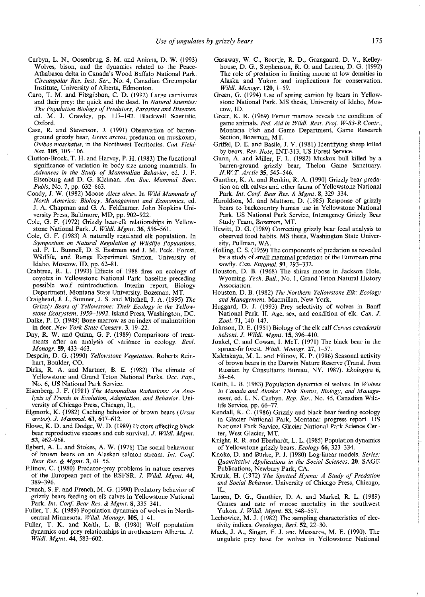- Carbyn, L. N., Oosenbrug, S. M. and Anions, D. W. (1993) Wolves, bison, and the dynamics related to the Peace-Athabasca delta in Canada's Wood Buffalo National Park. *Circumpolar Res. Inst. Ser.,* No. 4, Canadian Circumpolar Institute, University of Alberta, Edmonton.
- Caro, T. M. and Fitzgibbon, C. D. (1992) Large carnivores and their prey: the quick and the dead. In *Natural Enemies: The Population Biology of Predators, Parasites and Diseases,*  ed. M. J. Crawley, pp. 117-142. Blackwell Scientific, Oxford.
- Case, R. and Stevenson, J. (1991) Observation of barrenground grizzly bear, *Ursus arctos,* predation on muskoxen, *Ovibos moschatus,* in the Northwest Territories. *Can. Field-Nat.* 105, 105-106.
- Clutton-Brock, T. H. and Harvey, P. H. (1983) The functional significance of variation in body size among mammals. In *Advances in the Study of Mammalian Behavior,* ed. J. F. Eisenburg and D. G. Kleiman. *Am. Soc. Mammal. Spec. Publs, No. 7, pp. 632–663.*
- Coady, J. W. (1982) Moose *Alces alces.* In *Wild Mammals of North America: Biology, Management and Economics,* ed. J. A. Chapman and G. A. Feldhamer. John Hopkins University Press, Baltimore, MD, pp. 902-922.
- Cole, G. F. (1972) Grizzly bear-elk relationships in Yellowstone National Park. J. Wildl. Mgmt. 36, 556-561.
- Cole, G. F. (1983) A naturally regulated elk population. In *Symposium on Natural Regulation of Wildlife Populations,*  ed. F. L. Bunnell, D. S. Eastman and J. M. Peek. Forest, Wildlife, and Range Experiment Station, University of Idaho, Moscow, ID, pp. 62-81.
- Crabtree, R. L. (1993) Effects of 1988 fires on ecology of coyotes in Yellowstone National Park: baseline preceding possible wolf reintroduction. Interim report, Biology Department, Montana State University, Bozeman, MT.
- Craighead, J. 1., Sumner, J. S. and Mitchell, J. A. (1995) *The Grizzly Bears of Yellowstone: Their Ecology in the Yellowstone Ecosystem, 1959-1992.* Island Press, Washington, DC.
- Dalke, P. D. (1949) Bone marrow as an index of malnutrition in deer. *New York State Conserv.* 3, 19-22.
- Day, R. W. and Quinn, G. P. (1989) Comparisons of treatments after an analysis of variance in ecology. *Ecol. Monogr.* 59, 433-463.
- Despain, D. G. (1990) *Yellowstone Vegetation.* Roberts Reinhart, Boulder, CO.
- Dirks, R. A. and Mariner, B. E. (1982) The climate of Yellowstone and Grand Teton National Parks. *Occ. Pap.,*  No. 6, US National Park Service.
- Eisenberg, J. F. (1981) *The Mammalian Radiations: An Analysis of Trends in Evolution, Adaptation, and Behavior.* University of Chicago Press, Chicago, IL.
- Elgrnork, K. (1982) Caching behavior of brown bears ( *Ursus arctos*). *J. Mammal.* 63, 607-612.
- Elowe, K. D. and Dodge, W. D. (1989) Factors affecting black bear reproductive success and cub survival. J. *Wild/. Mgmt.*  53, 962-968.
- Egbert, A. L. and Stokes, A. W. (1976) The social behaviour of brown bears on an Alaskan salmon stream. *Int. Conf. Bear Res.* & *Mgmt.* 3, 41-56.
- Filinov, C. (1980) Predator-prey problems in nature reserves of the European part of the RSFSR. J. *Wild/. Mgrnt.* 44, 389-396.
- French, S. P. and French, M.G. (1990) Predatory behavior of grizzly bears feeding on elk calves in Yellowstone National Park. *Int. Conf Bear Res.* & *Mgmt.* 8, 335-341.
- Fuller, T. K. (1989) Population dynamics of wolves in Northcentral Minnesota. Wildl. Monogr. 105, 1-41.
- Fuller, T. K. and Keith, L. B. (1980) Wolf population dynamics and prey relationships in northeastern Alberta. J. *Wild/. Mgmt.* 44, 583-602.
- Gasaway, W. C., Boertje, R. D., Grangaard, D. V., Kelleyhouse, D. G., Stephenson, R. 0. and Larsen, D. G. (1992) The role of predation in limiting moose at low densities in Alaska and Yukon and implications for conservation. *Wild/. Monogr.* 120, 1-59.
- Green, G. (1994) Use of spring carrion by bears in Yellowstone National Park. MS thesis, University of Idaho, Moscow, ID.
- Greer, K. R. (1969) Femur marrow reveals the condition of game animals. *Fed. Aid in Wild/. Rest. Proj. W-83-R Contr.,*  Montana Fish and Game Department, Game Research Section, Bozeman, MT.
- Griffe!, D. E. and Basile, J. V. (1981) Identifying sheep killed by bears. *Res. Note,* INT-313, US Forest Service.
- Gunn, A. and Miller, F. L. (1982) Muskox bull killed by a barren-ground grizzly bear, Thelon Game Sanctuary. *N.W.T. Arctic* 35,545-546.
- Gunther, K. A. and Renkin, R. A. (1990) Grizzly bear predation on elk calves and other fauna of Yellowstone National Park. *Int. Conf Bear Res.* & *Mgrnt.* 8, 329-334.
- Haroldson, M. and Mattson, D. (1985) Response of grizzly bears to backcountry human use in Yellowstone National Park. US National Park Service, Interagency Grizzly Bear Study Team, Bozeman, MT.
- Hewitt, D. G. (1989) Correcting grizzly bear fecal analysis to observed food habits. MS thesis, Washington State University, Pullman, WA.
- Holling, C. S. (1959) The components of predation as revealed by a study of small mammal predation of the European pine sawfly. *Can. Entomol.* 91, 293-332.
- Houston, D. B. (1968) The shiras moose in Jackson Hole, Wyoming. *Tech. Bull.,* No. I, Grand Teton Natural History Association.
- Houston, D. B. (1982) *The Northern Yellowstone Elk: Ecology and Management.* Macmillan, New York.
- Huggard, D. J. (1993) Prey selectivity of wolves in Banff National Park. II. Age, sex, and condition of elk. *Can.* J. Zool. 71, 140-147.
- Johnson, D. E. (1951) Biology of the elk calf *Cervus canadensis nelsoni.* J. *Wild/. Mgmt.* 15, 396-410.
- Jonkel, C. and Cowan, I. MeT. (1971) The black bear in the spruce-fir forest. *Wild/. Monogr.* 27, 1-57.
- Kaletskaya, M. L. and Filinov, K. P. (1986) Seasonal activity of brown bears in the Darwin Nature Reserve (Transl. from Russian by Consultants Bureau, NY, 1987). *Ekologiya* 6, 58-64.
- Keith, L. B. (1983) Population dynamics of wolves. In *Wolves in Canada and Alaska: Their Status, Biology, and Management,* ed. L. N. Carbyn. *Rep. Ser.,* No. 45, Canadian Wildlife Service, pp. 66-77.
- Kendall, K. C. (1986) Grizzly and black bear feeding ecology in Glacier National Park, Montana: progress report. US National Park Service, Glacier National Park Science Center, West Glacier, MT.
- Knight, R. R. and Eberhardt, L. L. (1985) Population dynamics of Yellowstone grizzly bears. *Ecology* 66,323-334.
- Knoke, D. and Burke, P. *1.* (1980) Log-linear models. *Series: Quantitative Applications in the Social Sciences,* 20. SAGE Publications, Newbury Park, CA.
- Kruuk, H. (1972) *The Spotted Hyena: A Study of Predation and Social Behavior.* University of Chicago Press, Chicago, IL.
- Larsen, D. G., Gauthier, D. A. and Markel, R. L. (1989) Causes and rate of moose mortality in the southwest Yukon. J. *Wild/. Mgmt.* 53, 548-557.
- Lechowicz, M. J. (1982) The sampling characteristics of electivity indices. *Oecologia, Berl.* 52, 22-30.
- Mack, J. A., Singer, F. *1.* and Messaros, M. E. (1990). The ungulate prey base for wolves in Yellowstone National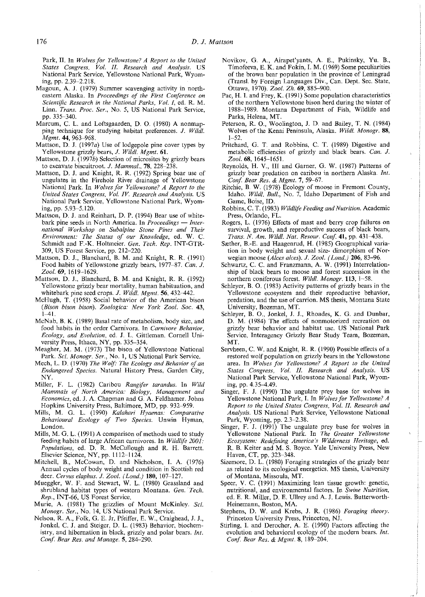Park, II. In *Wolves for Yellowstone? A Report to the United States Congress, Vol. II. Research and Analysis.* US National Park Service, Yellowstone National Park, Wyoming, pp. 2.39-2.218.

- Magoun, A. J. (1979) Summer scavenging activity in northeastern Alaska. In *Proceedings of the First Conference on Scientific Research in the National Parks, Vol. I,* ed. R. M. Linn. *Trans. Proc. Ser.,* No. 5, US National Park Service, pp. 335-340.
- Marcum, C. L. and Loftsgaarden, D. 0. (1980) A nonmapping technique for studying habitat preferences. *J. Wild/. Mgmt.* 44, 963-968.
- Mattson, D. 1. (1997a) Use of lodgepole pine cover types by Yellowstone grizzly bears, J. *Wild!. Mgmt.* 61.
- Mattson, D. J. (1997b) Selection of microsites by grizzly bears to excavate biscuitroot. J. *Mammal.,* 78, 228-238.
- Mattson, D. *1.* and Knight, R. R. (1992) Spring bear use of ungulates in the Firehole River drainage of Yellowstone National Park In *Wolves for Yellowstone? A Report to the United States Congress, Vol. IV. Research and Analysis.* US National Park Service, Yellowstone National Park, Wyoming, pp. 5.93-5.120.
- Mattson, D. J. and Reinhart, D.P. (1994) Bear use of whitebark pine seeds in North America. In *Proceedings* — *International Workshop on Subalpine Stone Pines and Their Environment: The Status of our Knowledge,* ed. W. C. Schmidt and F.-K. Holtmeier. *Gen. Tech. Rep.* INT-GTR-309, US Forest Service, pp. 212-220.
- Mattson, D. *1.,* Blanchard, B. M. and Knight, R. R. (1991) Food habits of Yellowstone grizzly bears, 1977-87. *Can.* J. *Zoo/.* 69, 1619-1629.
- Mattson, D. 1., Blanchard, B. M. and Knight, R. R. (1992) Yellowstone grizzly bear mortality, human habituation, and whitebark pine seed crops. J. *Wild/. Mgmt.* 56, 432-442.
- McHugh, T. (1958) Social behavior of the American bison *(Bison bison bison). Zoologica: New York Zoo!. Soc.* 43,  $1 - 41$ .
- McNab, B. K. (1989) Basal rate of metabolism, body size, and food habits in the order Carnivora. In *Carnivore Behavior, Ecology, and Evolution,* ed. J. L. Gittleman. Cornell University Press, Ithaca, NY, pp. 335-354.
- Meagher, M. M. (1973) The bison of Yellowstone National Park. *Sci. Monogr. Ser.,* No. 1, US National Park Service.
- Mech, L. D. (1970) *The Wolf: The Ecology and Behavior of an Endangered Species.* Natural History Press, Garden City, NY.
- Miller, F. L. (1982) Caribou *Rangifer tarandus.* In *Wild J\:fammals of North America: Biology, Management and Economics,* ed. J. A. Chapman and G. A. Feldhamer. Johns Hopkins University Press, Baltimore, MD, pp. 932-959.
- Mills, M. G. L. (1990) *Kalahari Hyaenas: Comparative Behavioural Ecology of Two Species.* Unwin Hyman, London.
- Mills, M.G. L. (1991) A comparison of methods used to study feeding habits of large African carnivores. In *Wildlife 2001: Populations,* ed. D. R. McCullough and R. H. Barrett. Elsevier Science, NY, pp. 1112-1124.
- Mitchell, B., McCowan, D. and Nicholson, I. A. (1976) Annual cycles of body weight and condition in Scottish red deer. *Cervus e/aphus.* J. *Zoo/. (Land.)* 180, 107-127.
- Mueggler, W. F. and Stewart, W. L. (1980) Grassland and shrubland habitat types of western Montana. *Gen. Tech. Rep.,* INT-66, US Forest Service.
- Murie, A. (1981) The grizzlies of Mount McKinley. *Sci. Monogr. Ser.,* No. 14, US National Park Service.
- Nelson, R. A., Folk, G. E. *1r,* Pfeiffer, E. W., Craighead, *1. 1.,*  1onkel, C. *1.* and Steiger, D. L. (1983) Behavior, biochemistry, and hibernation in black, grizzly and polar bears. *Int. Conf Bear Res. and Manage.* 5, 284-290.
- Novikov, G. A., Airapet'yants, A. E., Pukinsky, Yu. B., Timofeeva, E. K. and Fokin, I. M. (1969) Some peculiarities of the brown bear population in the province of Leningrad (Transl. by Foreign Languages Div., Can. Dept. Sec. State, Ottawa, 1970). *Zoo/. Zh.* 69, 885-900.
- Pac, H. I. and Frey, K. (1991) Some population characteristics of the northern Yellowstone bison herd during the winter of 1988-1989. Montana Department of Fish, Wildlife and Parks, Helena, MT.
- Peterson, R. 0., Woolington, *1.* D. and Bailey, T. N. (1984) Wolves of the Kenai Peninsula, Alaska. *Wild!. Monogr.* 88, 1-52.
- Pritchard, G. T. and Robbins, C. T. (1989) Digestive and metabolic efficiencies of grizzly and black bears. *Can.* J. *Zoo/.* 68, 1645-1651.
- Reynolds, H. V., III and Garner, G. W. (1987) Patterns of grizzly bear predation on caribou in northern Alaska. *Int. Conf Bear Res.* & *Mgmt.* 7, 59-67.
- Ritchie, B. W. (1978) Ecology of moose in Fremont County, Idaho. *Wild/. Bull.,* No. 7, Idaho Department of Fish and Game, Boise, ID.
- Robbins, C. T. (1983) *Wildlife Feeding and Nutrition.* Academic Press, Orlando, FL.
- Rogers, L. (1976) Effects of mast and berry crop failures on survival, growth, and reproductive success of black bears, *Trans. N. Am. Wild/. Nat. Resour. Conf* 41, pp. 431-438.
- Sæther, B.-E. and Haagenrud, H. (1985) Geographical variation in body weight and sexual size- dimorphism of Norwegian moose *(A Ices alces).* J. *Zoo/. (Land.)* 206, 83-96.
- Schwartz, C. C. and Franzmann, A. W. (1991) Interrelationship of black bears to moose and forest succession in the northern coniferous forest. *Wildt. Monogr.* 113, 1~58.
- Schleyer, B. 0. (1983) Activity patterns of grizzly bears in the Yellowstone ecosystem and their reproductive behavior, predation, and the use of carrion. MS thesis, Montana State University, Bozeman, MT.
- Schleyer, B. 0., *1onkel, 1. 1.,* Rhoades, K. G. and Dunbar, D. M. (1984) The effects of nonmotorized recreation on grizzly bear behavior and habitat use. US National Park Service, Interagency Grizzly Bear Study Team, Bozeman, MT.
- Servheen, C. W. and Knight, R. R. (1990) Possible effects of a restored wolf population on grizzly bears in the Yellowstone area. In *Wolves for Yellowstone? A Report to the United States Congress, Vol. II. Research and Analysis.* US National Park Service, Yellowstone National Park, Wyoming, pp. 4.35-4.49.
- Singer, F. J. (1990) The ungulate prey base for wolves in Yellowstone National Park, I. In *Wolves for Yellowstone? A Report to the United States Congress, Vol. II. Research and Analysis.* US National Park Service, Yellowstone National Park, Wyoming, pp. 2.3-2.38.
- Singer, F. J. (1991) The ungulate prey base for wolves in Yellowstone National Park. In *The Greater Yellowstone Ecosystem: Redefining America's Wilderness Heritage,* ed. R. B. Keiter and M. S. Boyce. Yale University Press, New Haven, CT, pp. 323-348.
- Sizemore, D. L. (1980) Foraging strategies of the grizzly bear as related to its ecological energetics. MS thesis, University of Montana, Missoula, MT.
- Speer, V. C. (1991) Maximizing lean tissue growth: genetic, nutritional, and environmental factors. In *Swine Nutrition,*  ed. E. R. Miller, D. E. Ullrey and A. *1.* Lewis. Butterworth-Heinemann, Boston, MA.
- Stephens, D. W. and Krebs, *1.* R. (1986) *Foraging theory.*  Princeton University Press, Princeton, NJ.
- Stirling, I. and Derocher, A. E. (1990) Factors affecting the evolution and behavioral ecology of the modern bears. *Int. Conf Bear Res.* & *Mgmt.* 8, 189-204.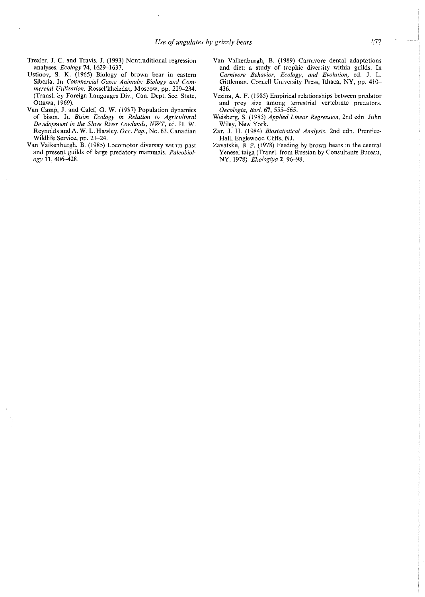- Trexler, J. C. and Travis, J. (1993) Nontraditional regression analyses. *Ecology* 74, 1629-1637.
- Ustinov, S. K. (1965) Biology of brown bear in eastern Siberia. In *Commercial Game Animals: Biology and* Com~ *mercia! Utilization.* Rossel'kheizdat, Moscow, pp. 229-234. (Transl. by Foreign Languages Div., Can. Dept. Sec. State, Ottawa, 1969).
- Van Camp, J. and Calef, G. W. (1987) Population dynamics of bison. In *Bison Ecology in Relation to Agricultural Development in the Slave River Lowlands, NWT,* ed. H. W. Reynolds and A. W. L. Hawley. *Occ. Pap.,* No. 63, Canadian Wildlife Service, pp. 21-24.
- Van Valkenburgh, B. (1985) Locomotor diversity within past and present guilds of large predatory mammals. *Paleobiology* 11, 406-428.
- Van Valkenburgh, B. (1989) Carnivore dental adaptations and diet: a study of trophic diversity within guilds. In *Carnivore Behavior, Ecology, and Evolution,* ed. J. L. Gittleman. Cornell University Press, Ithaca, NY, pp. 410-436.
- Vezina, A. F. (1985) Empirical relationships between predator and prey size among terrestrial vertebrate predators. *Oecologia, Berl.* 67, 555--565.
- Weisberg, S. (1985) *Applied Linear Regression,* 2nd edn. John Wiley, New York.
- Zar, J. H. (1984) *Biostatistical Analysis,* 2nd edn. Prentice-Hall, Englewood Cliffs, NJ.
- Zavatskii, B. P. (1978) Feeding by brown bears in the central Yenesei taiga (Transl. from Russian by Consultants Bureau, NY, 1978). *Ekologiya* 2, 96-98.